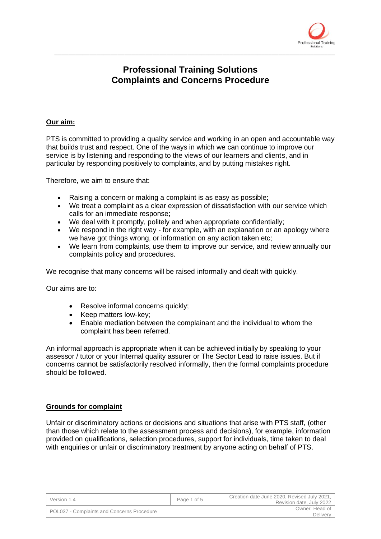

# **Professional Training Solutions Complaints and Concerns Procedure**

\_\_\_\_\_\_\_\_\_\_\_\_\_\_\_\_\_\_\_\_\_\_\_\_\_\_\_\_\_\_\_\_\_\_\_\_\_\_\_\_\_\_\_\_\_\_\_\_\_\_\_\_\_\_\_\_\_\_\_\_\_\_\_\_\_\_\_\_\_\_\_\_\_\_\_\_\_\_\_\_

#### **Our aim:**

PTS is committed to providing a quality service and working in an open and accountable way that builds trust and respect. One of the ways in which we can continue to improve our service is by listening and responding to the views of our learners and clients, and in particular by responding positively to complaints, and by putting mistakes right.

Therefore, we aim to ensure that:

- Raising a concern or making a complaint is as easy as possible;
- We treat a complaint as a clear expression of dissatisfaction with our service which calls for an immediate response;
- We deal with it promptly, politely and when appropriate confidentially;
- We respond in the right way for example, with an explanation or an apology where we have got things wrong, or information on any action taken etc;
- We learn from complaints, use them to improve our service, and review annually our complaints policy and procedures.

We recognise that many concerns will be raised informally and dealt with quickly.

Our aims are to:

- Resolve informal concerns quickly;
- Keep matters low-key:
- Enable mediation between the complainant and the individual to whom the complaint has been referred.

An informal approach is appropriate when it can be achieved initially by speaking to your assessor / tutor or your Internal quality assurer or The Sector Lead to raise issues. But if concerns cannot be satisfactorily resolved informally, then the formal complaints procedure should be followed.

## **Grounds for complaint**

Unfair or discriminatory actions or decisions and situations that arise with PTS staff, (other than those which relate to the assessment process and decisions), for example, information provided on qualifications, selection procedures, support for individuals, time taken to deal with enquiries or unfair or discriminatory treatment by anyone acting on behalf of PTS.

| Version 1.4                                | Page 1 of 5 | Creation date June 2020, Revised July 2021, | Revision date, July 2022      |
|--------------------------------------------|-------------|---------------------------------------------|-------------------------------|
| POL037 - Complaints and Concerns Procedure |             |                                             | Owner: Head of I<br>Delivery, |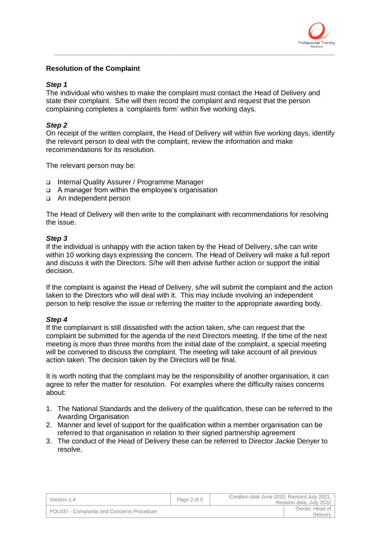

## **Resolution of the Complaint**

#### *Step 1*

The individual who wishes to make the complaint must contact the Head of Delivery and state their complaint. S/he will then record the complaint and request that the person complaining completes a 'complaints form' within five working days.

\_\_\_\_\_\_\_\_\_\_\_\_\_\_\_\_\_\_\_\_\_\_\_\_\_\_\_\_\_\_\_\_\_\_\_\_\_\_\_\_\_\_\_\_\_\_\_\_\_\_\_\_\_\_\_\_\_\_\_\_\_\_\_\_\_\_\_\_\_\_\_\_\_\_\_\_\_\_\_\_

## *Step 2*

On receipt of the written complaint, the Head of Delivery will within five working days, identify the relevant person to deal with the complaint, review the information and make recommendations for its resolution.

The relevant person may be:

- ❑ Internal Quality Assurer / Programme Manager
- ❑ A manager from within the employee's organisation
- ❑ An independent person

The Head of Delivery will then write to the complainant with recommendations for resolving the issue.

#### *Step 3*

If the individual is unhappy with the action taken by the Head of Delivery, s/he can write within 10 working days expressing the concern. The Head of Delivery will make a full report and discuss it with the Directors. S/he will then advise further action or support the initial decision.

If the complaint is against the Head of Delivery, s/he will submit the complaint and the action taken to the Directors who will deal with it. This may include involving an independent person to help resolve the issue or referring the matter to the appropriate awarding body.

## *Step 4*

If the complainant is still dissatisfied with the action taken, s/he can request that the complaint be submitted for the agenda of the next Directors meeting. If the time of the next meeting is more than three months from the initial date of the complaint, a special meeting will be convened to discuss the complaint. The meeting will take account of all previous action taken. The decision taken by the Directors will be final.

It is worth noting that the complaint may be the responsibility of another organisation, it can agree to refer the matter for resolution. For examples where the difficulty raises concerns about:

- 1. The National Standards and the delivery of the qualification, these can be referred to the Awarding Organisation
- 2. Manner and level of support for the qualification within a member organisation can be referred to that organisation in relation to their signed partnership agreement
- 3. The conduct of the Head of Delivery these can be referred to Director Jackie Denyer to resolve.

| Version 1.4                                | Page 2 of 5 | Creation date June 2020, Revised July 2021,<br>Revision date, July 2022 |
|--------------------------------------------|-------------|-------------------------------------------------------------------------|
| POL037 - Complaints and Concerns Procedure |             | Owner: Head of<br><b>Delivery</b>                                       |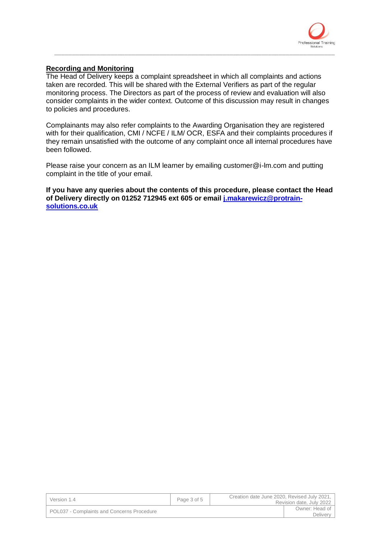

## **Recording and Monitoring**

The Head of Delivery keeps a complaint spreadsheet in which all complaints and actions taken are recorded. This will be shared with the External Verifiers as part of the regular monitoring process. The Directors as part of the process of review and evaluation will also consider complaints in the wider context. Outcome of this discussion may result in changes to policies and procedures.

\_\_\_\_\_\_\_\_\_\_\_\_\_\_\_\_\_\_\_\_\_\_\_\_\_\_\_\_\_\_\_\_\_\_\_\_\_\_\_\_\_\_\_\_\_\_\_\_\_\_\_\_\_\_\_\_\_\_\_\_\_\_\_\_\_\_\_\_\_\_\_\_\_\_\_\_\_\_\_\_

Complainants may also refer complaints to the Awarding Organisation they are registered with for their qualification, CMI / NCFE / ILM/ OCR, ESFA and their complaints procedures if they remain unsatisfied with the outcome of any complaint once all internal procedures have been followed.

Please raise your concern as an ILM learner by emailing customer@i-lm.com and putting complaint in the title of your email.

**If you have any queries about the contents of this procedure, please contact the Head of Delivery directly on 01252 712945 ext 605 or email [j.makarewicz@protrain](mailto:j.makarewicz@protrain-solutions.co.uk)[solutions.co.uk](mailto:j.makarewicz@protrain-solutions.co.uk)**

| Version 1.4                                | Page 3 of 5 | Creation date June 2020, Revised July 2021,<br>Revision date, July 2022 |
|--------------------------------------------|-------------|-------------------------------------------------------------------------|
| POL037 - Complaints and Concerns Procedure |             | Owner: Head of<br>Delivery                                              |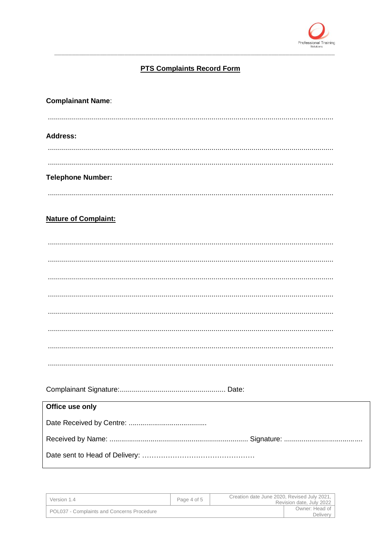

## **PTS Complaints Record Form**

| <b>Complainant Name:</b>    |
|-----------------------------|
|                             |
| <b>Address:</b>             |
|                             |
|                             |
| <b>Telephone Number:</b>    |
|                             |
| <b>Nature of Complaint:</b> |
|                             |
|                             |
|                             |
|                             |
|                             |
|                             |
|                             |
|                             |
|                             |
|                             |
| Office use only             |
|                             |
|                             |
|                             |
|                             |

| Version 1.4                                | Page 4 of 5 | Creation date June 2020, Revised July 2021,<br>Revision date, July 2022 |  |
|--------------------------------------------|-------------|-------------------------------------------------------------------------|--|
| POL037 - Complaints and Concerns Procedure |             | Owner: Head of<br>Delivery                                              |  |